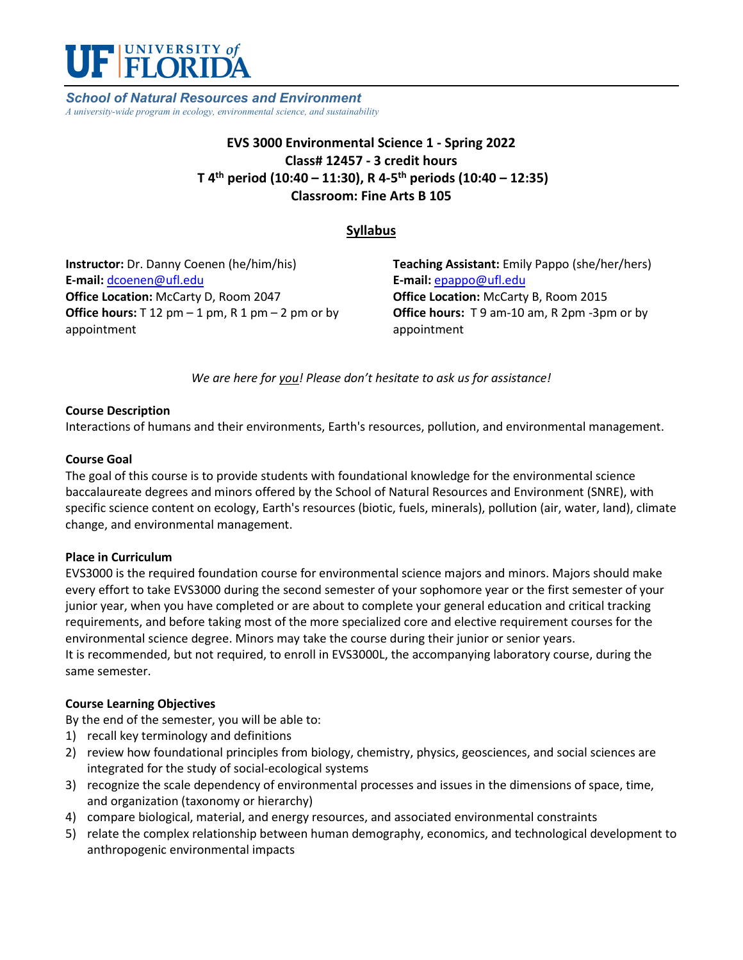

*School of Natural Resources and Environment A university-wide program in ecology, environmental science, and sustainability*

## **EVS 3000 Environmental Science 1 - Spring 2022 Class# 12457 - 3 credit hours T 4th period (10:40 – 11:30), R 4-5th periods (10:40 – 12:35) Classroom: Fine Arts B 105**

## **Syllabus**

**Instructor:** Dr. Danny Coenen (he/him/his) **E-mail:** [dcoenen@ufl.edu](mailto:dcoenen@ufl.edu) **Office Location:** McCarty D, Room 2047 **Office hours:**  $T 12 pm - 1 pm$ ,  $R 1 pm - 2 pm$  or by appointment

**Teaching Assistant:** Emily Pappo (she/her/hers) **E-mail:** [epappo@ufl.edu](mailto:epappo@ufl.edu) **Office Location:** McCarty B, Room 2015 **Office hours:** T 9 am-10 am, R 2pm -3pm or by appointment

*We are here for you! Please don't hesitate to ask us for assistance!*

## **Course Description**

Interactions of humans and their environments, Earth's resources, pollution, and environmental management.

## **Course Goal**

The goal of this course is to provide students with foundational knowledge for the environmental science baccalaureate degrees and minors offered by the School of Natural Resources and Environment (SNRE), with specific science content on ecology, Earth's resources (biotic, fuels, minerals), pollution (air, water, land), climate change, and environmental management.

## **Place in Curriculum**

EVS3000 is the required foundation course for environmental science majors and minors. Majors should make every effort to take EVS3000 during the second semester of your sophomore year or the first semester of your junior year, when you have completed or are about to complete your general education and critical tracking requirements, and before taking most of the more specialized core and elective requirement courses for the environmental science degree. Minors may take the course during their junior or senior years. It is recommended, but not required, to enroll in EVS3000L, the accompanying laboratory course, during the same semester.

## **Course Learning Objectives**

By the end of the semester, you will be able to:

- 1) recall key terminology and definitions
- 2) review how foundational principles from biology, chemistry, physics, geosciences, and social sciences are integrated for the study of social-ecological systems
- 3) recognize the scale dependency of environmental processes and issues in the dimensions of space, time, and organization (taxonomy or hierarchy)
- 4) compare biological, material, and energy resources, and associated environmental constraints
- 5) relate the complex relationship between human demography, economics, and technological development to anthropogenic environmental impacts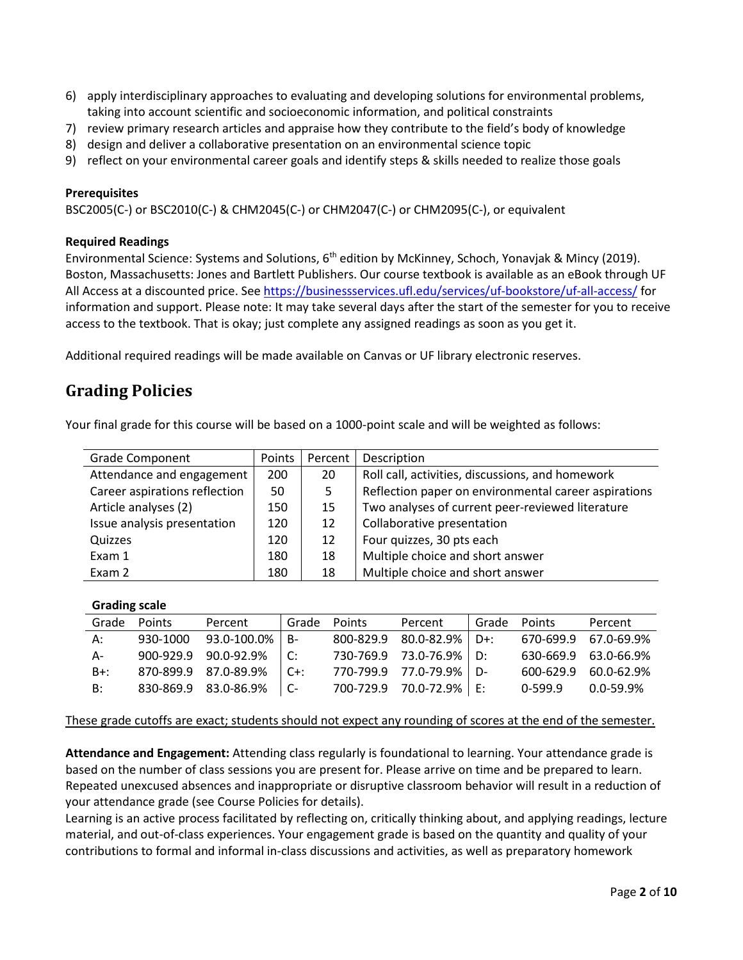- 6) apply interdisciplinary approaches to evaluating and developing solutions for environmental problems, taking into account scientific and socioeconomic information, and political constraints
- 7) review primary research articles and appraise how they contribute to the field's body of knowledge
- 8) design and deliver a collaborative presentation on an environmental science topic
- 9) reflect on your environmental career goals and identify steps & skills needed to realize those goals

## **Prerequisites**

BSC2005(C-) or BSC2010(C-) & CHM2045(C-) or CHM2047(C-) or CHM2095(C-), or equivalent

### **Required Readings**

Environmental Science: Systems and Solutions, 6<sup>th</sup> edition by McKinney, Schoch, Yonavjak & Mincy (2019). Boston, Massachusetts: Jones and Bartlett Publishers. Our course textbook is available as an eBook through UF All Access at a discounted price. See<https://businessservices.ufl.edu/services/uf-bookstore/uf-all-access/> for information and support. Please note: It may take several days after the start of the semester for you to receive access to the textbook. That is okay; just complete any assigned readings as soon as you get it.

Additional required readings will be made available on Canvas or UF library electronic reserves.

# **Grading Policies**

Your final grade for this course will be based on a 1000-point scale and will be weighted as follows:

| <b>Grade Component</b>        | Points | Percent | Description                                          |
|-------------------------------|--------|---------|------------------------------------------------------|
| Attendance and engagement     | 200    | 20      | Roll call, activities, discussions, and homework     |
| Career aspirations reflection | 50     | 5.      | Reflection paper on environmental career aspirations |
| Article analyses (2)          | 150    | 15      | Two analyses of current peer-reviewed literature     |
| Issue analysis presentation   | 120    | 12      | Collaborative presentation                           |
| Quizzes                       | 120    | 12      | Four quizzes, 30 pts each                            |
| Exam 1                        | 180    | 18      | Multiple choice and short answer                     |
| Exam 2                        | 180    | 18      | Multiple choice and short answer                     |

#### **Grading scale**

| Grade  | <b>Points</b> | Percent              | Grade                     | <b>Points</b> | Percent              | Grade | Points    | Percent              |
|--------|---------------|----------------------|---------------------------|---------------|----------------------|-------|-----------|----------------------|
| А:     | 930-1000      | 93.0-100.0%          | B-                        | 800-829.9     | 80.0-82.9%           | D+.   |           | 670-699.9 67.0-69.9% |
| А-     |               | 900-929.9 90.0-92.9% | $\mathsf{C}^{\mathsf{C}}$ |               | 730-769.9 73.0-76.9% | י∩    |           | 630-669.9 63.0-66.9% |
| $B+$ : |               | 870-899.9 87.0-89.9% | $C + 1$                   |               | 770-799.9 77.0-79.9% | D-    | 600-629.9 | 60.0-62.9%           |
| B:     |               | 830-869.9 83.0-86.9% |                           | 700-729.9     | 70.0-72.9%           | F.    | 0-599.9   | 0.0-59.9%            |

#### These grade cutoffs are exact; students should not expect any rounding of scores at the end of the semester.

**Attendance and Engagement:** Attending class regularly is foundational to learning. Your attendance grade is based on the number of class sessions you are present for. Please arrive on time and be prepared to learn. Repeated unexcused absences and inappropriate or disruptive classroom behavior will result in a reduction of your attendance grade (see Course Policies for details).

Learning is an active process facilitated by reflecting on, critically thinking about, and applying readings, lecture material, and out-of-class experiences. Your engagement grade is based on the quantity and quality of your contributions to formal and informal in-class discussions and activities, as well as preparatory homework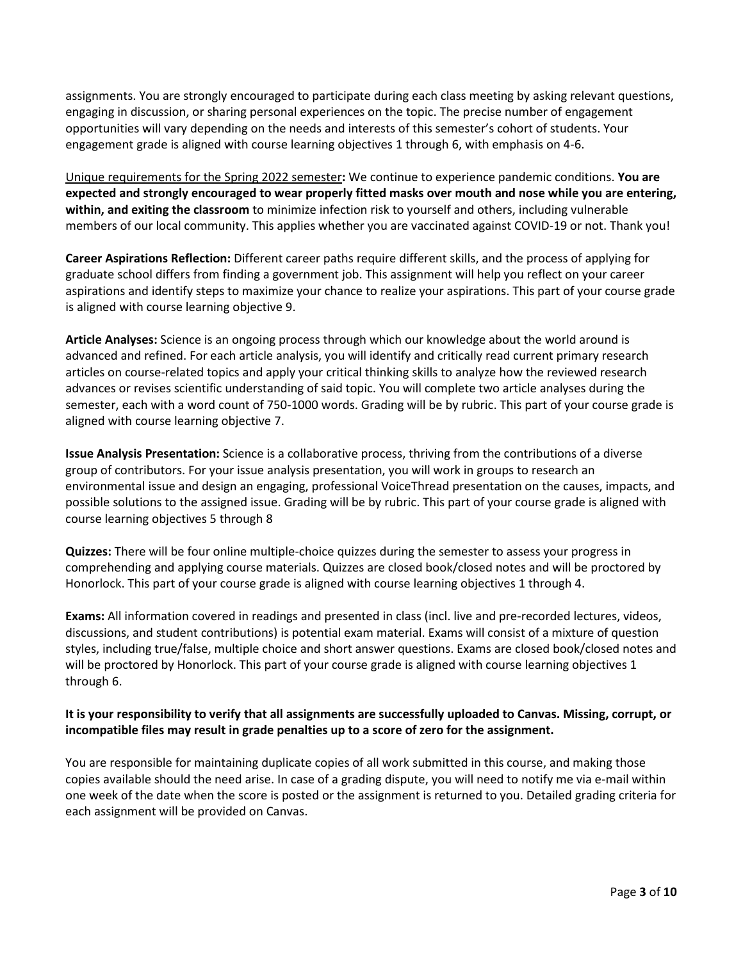assignments. You are strongly encouraged to participate during each class meeting by asking relevant questions, engaging in discussion, or sharing personal experiences on the topic. The precise number of engagement opportunities will vary depending on the needs and interests of this semester's cohort of students. Your engagement grade is aligned with course learning objectives 1 through 6, with emphasis on 4-6.

Unique requirements for the Spring 2022 semester**:** We continue to experience pandemic conditions. **You are expected and strongly encouraged to wear properly fitted masks over mouth and nose while you are entering, within, and exiting the classroom** to minimize infection risk to yourself and others, including vulnerable members of our local community. This applies whether you are vaccinated against COVID-19 or not. Thank you!

**Career Aspirations Reflection:** Different career paths require different skills, and the process of applying for graduate school differs from finding a government job. This assignment will help you reflect on your career aspirations and identify steps to maximize your chance to realize your aspirations. This part of your course grade is aligned with course learning objective 9.

**Article Analyses:** Science is an ongoing process through which our knowledge about the world around is advanced and refined. For each article analysis, you will identify and critically read current primary research articles on course-related topics and apply your critical thinking skills to analyze how the reviewed research advances or revises scientific understanding of said topic. You will complete two article analyses during the semester, each with a word count of 750-1000 words. Grading will be by rubric. This part of your course grade is aligned with course learning objective 7.

**Issue Analysis Presentation:** Science is a collaborative process, thriving from the contributions of a diverse group of contributors. For your issue analysis presentation, you will work in groups to research an environmental issue and design an engaging, professional VoiceThread presentation on the causes, impacts, and possible solutions to the assigned issue. Grading will be by rubric. This part of your course grade is aligned with course learning objectives 5 through 8

**Quizzes:** There will be four online multiple-choice quizzes during the semester to assess your progress in comprehending and applying course materials. Quizzes are closed book/closed notes and will be proctored by Honorlock. This part of your course grade is aligned with course learning objectives 1 through 4.

**Exams:** All information covered in readings and presented in class (incl. live and pre-recorded lectures, videos, discussions, and student contributions) is potential exam material. Exams will consist of a mixture of question styles, including true/false, multiple choice and short answer questions. Exams are closed book/closed notes and will be proctored by Honorlock. This part of your course grade is aligned with course learning objectives 1 through 6.

## **It is your responsibility to verify that all assignments are successfully uploaded to Canvas. Missing, corrupt, or incompatible files may result in grade penalties up to a score of zero for the assignment.**

You are responsible for maintaining duplicate copies of all work submitted in this course, and making those copies available should the need arise. In case of a grading dispute, you will need to notify me via e-mail within one week of the date when the score is posted or the assignment is returned to you. Detailed grading criteria for each assignment will be provided on Canvas.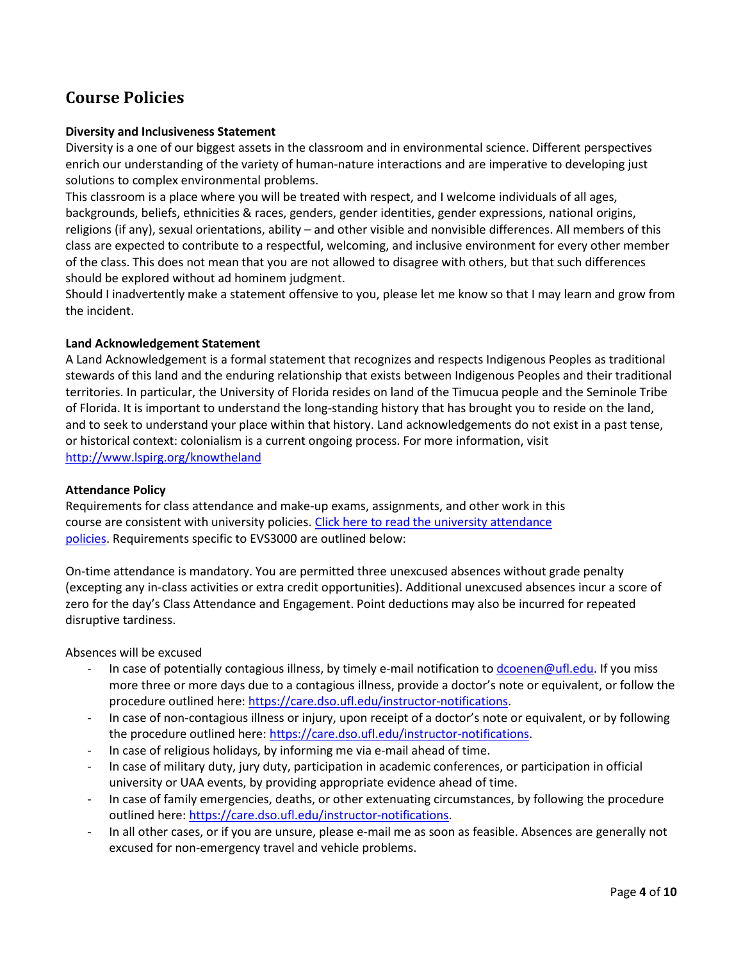# **Course Policies**

## **Diversity and Inclusiveness Statement**

Diversity is a one of our biggest assets in the classroom and in environmental science. Different perspectives enrich our understanding of the variety of human-nature interactions and are imperative to developing just solutions to complex environmental problems.

This classroom is a place where you will be treated with respect, and I welcome individuals of all ages, backgrounds, beliefs, ethnicities & races, genders, gender identities, gender expressions, national origins, religions (if any), sexual orientations, ability – and other visible and nonvisible differences. All members of this class are expected to contribute to a respectful, welcoming, and inclusive environment for every other member of the class. This does not mean that you are not allowed to disagree with others, but that such differences should be explored without ad hominem judgment.

Should I inadvertently make a statement offensive to you, please let me know so that I may learn and grow from the incident.

### **Land Acknowledgement Statement**

A Land Acknowledgement is a formal statement that recognizes and respects Indigenous Peoples as traditional stewards of this land and the enduring relationship that exists between Indigenous Peoples and their traditional territories. In particular, the University of Florida resides on land of the Timucua people and the Seminole Tribe of Florida. It is important to understand the long-standing history that has brought you to reside on the land, and to seek to understand your place within that history. Land acknowledgements do not exist in a past tense, or historical context: colonialism is a current ongoing process. For more information, visit <http://www.lspirg.org/knowtheland>

#### **Attendance Policy**

Requirements for class attendance and make-up exams, assignments, and other work in this course are consistent with university policies[. Click here to read the university attendance](https://catalog.ufl.edu/UGRD/academic-regulations/attendance-policies/)  [policies.](https://catalog.ufl.edu/UGRD/academic-regulations/attendance-policies/) Requirements specific to EVS3000 are outlined below:

On-time attendance is mandatory. You are permitted three unexcused absences without grade penalty (excepting any in-class activities or extra credit opportunities). Additional unexcused absences incur a score of zero for the day's Class Attendance and Engagement. Point deductions may also be incurred for repeated disruptive tardiness.

Absences will be excused

- In case of potentially contagious illness, by timely e-mail notification to [dcoenen@ufl.edu.](mailto:dcoenen@ufl.edu) If you miss more three or more days due to a contagious illness, provide a doctor's note or equivalent, or follow the procedure outlined here[: https://care.dso.ufl.edu/instructor-notifications.](https://care.dso.ufl.edu/instructor-notifications)
- In case of non-contagious illness or injury, upon receipt of a doctor's note or equivalent, or by following the procedure outlined here: [https://care.dso.ufl.edu/instructor-notifications.](https://care.dso.ufl.edu/instructor-notifications)
- In case of religious holidays, by informing me via e-mail ahead of time.
- In case of military duty, jury duty, participation in academic conferences, or participation in official university or UAA events, by providing appropriate evidence ahead of time.
- In case of family emergencies, deaths, or other extenuating circumstances, by following the procedure outlined here: [https://care.dso.ufl.edu/instructor-notifications.](https://care.dso.ufl.edu/instructor-notifications)
- In all other cases, or if you are unsure, please e-mail me as soon as feasible. Absences are generally not excused for non-emergency travel and vehicle problems.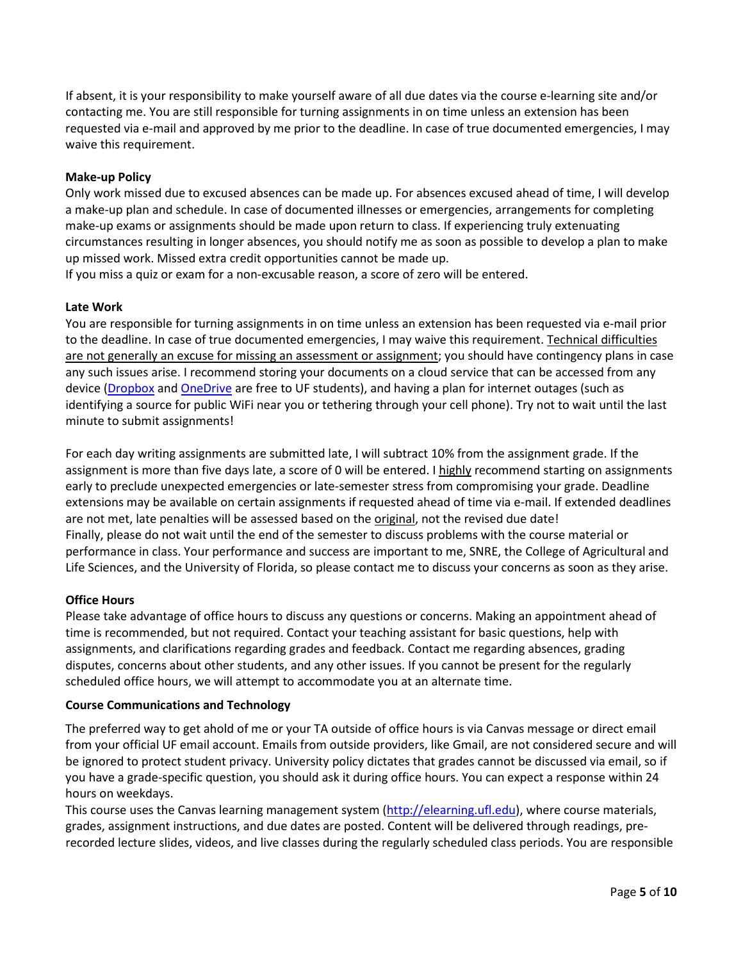If absent, it is your responsibility to make yourself aware of all due dates via the course e-learning site and/or contacting me. You are still responsible for turning assignments in on time unless an extension has been requested via e-mail and approved by me prior to the deadline. In case of true documented emergencies, I may waive this requirement.

## **Make-up Policy**

Only work missed due to excused absences can be made up. For absences excused ahead of time, I will develop a make-up plan and schedule. In case of documented illnesses or emergencies, arrangements for completing make-up exams or assignments should be made upon return to class. If experiencing truly extenuating circumstances resulting in longer absences, you should notify me as soon as possible to develop a plan to make up missed work. Missed extra credit opportunities cannot be made up.

If you miss a quiz or exam for a non-excusable reason, a score of zero will be entered.

### **Late Work**

You are responsible for turning assignments in on time unless an extension has been requested via e-mail prior to the deadline. In case of true documented emergencies, I may waive this requirement. Technical difficulties are not generally an excuse for missing an assessment or assignment; you should have contingency plans in case any such issues arise. I recommend storing your documents on a cloud service that can be accessed from any device [\(Dropbox](https://cloud.it.ufl.edu/collaboration-tools/dropbox/) and [OneDrive](https://cloud.it.ufl.edu/collaboration-tools/office-365/) are free to UF students), and having a plan for internet outages (such as identifying a source for public WiFi near you or tethering through your cell phone). Try not to wait until the last minute to submit assignments!

For each day writing assignments are submitted late, I will subtract 10% from the assignment grade. If the assignment is more than five days late, a score of 0 will be entered. I highly recommend starting on assignments early to preclude unexpected emergencies or late-semester stress from compromising your grade. Deadline extensions may be available on certain assignments if requested ahead of time via e-mail. If extended deadlines are not met, late penalties will be assessed based on the original, not the revised due date! Finally, please do not wait until the end of the semester to discuss problems with the course material or performance in class. Your performance and success are important to me, SNRE, the College of Agricultural and Life Sciences, and the University of Florida, so please contact me to discuss your concerns as soon as they arise.

#### **Office Hours**

Please take advantage of office hours to discuss any questions or concerns. Making an appointment ahead of time is recommended, but not required. Contact your teaching assistant for basic questions, help with assignments, and clarifications regarding grades and feedback. Contact me regarding absences, grading disputes, concerns about other students, and any other issues. If you cannot be present for the regularly scheduled office hours, we will attempt to accommodate you at an alternate time.

#### **Course Communications and Technology**

The preferred way to get ahold of me or your TA outside of office hours is via Canvas message or direct email from your official UF email account. Emails from outside providers, like Gmail, are not considered secure and will be ignored to protect student privacy. University policy dictates that grades cannot be discussed via email, so if you have a grade-specific question, you should ask it during office hours. You can expect a response within 24 hours on weekdays.

This course uses the Canvas learning management system [\(http://elearning.ufl.edu\)](http://elearning.ufl.edu/), where course materials, grades, assignment instructions, and due dates are posted. Content will be delivered through readings, prerecorded lecture slides, videos, and live classes during the regularly scheduled class periods. You are responsible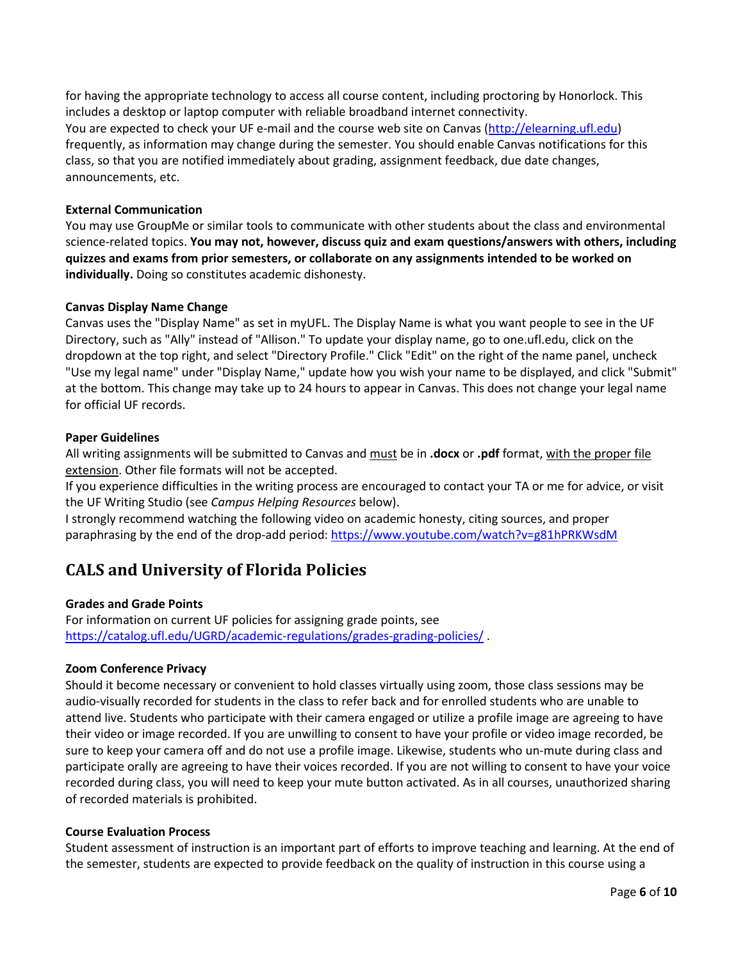for having the appropriate technology to access all course content, including proctoring by Honorlock. This includes a desktop or laptop computer with reliable broadband internet connectivity. You are expected to check your UF e-mail and the course web site on Canvas [\(http://elearning.ufl.edu\)](http://elearning.ufl.edu/) frequently, as information may change during the semester. You should enable Canvas notifications for this class, so that you are notified immediately about grading, assignment feedback, due date changes, announcements, etc.

## **External Communication**

You may use GroupMe or similar tools to communicate with other students about the class and environmental science-related topics. **You may not, however, discuss quiz and exam questions/answers with others, including quizzes and exams from prior semesters, or collaborate on any assignments intended to be worked on individually.** Doing so constitutes academic dishonesty.

#### **Canvas Display Name Change**

Canvas uses the "Display Name" as set in myUFL. The Display Name is what you want people to see in the UF Directory, such as "Ally" instead of "Allison." To update your display name, go to one.ufl.edu, click on the dropdown at the top right, and select "Directory Profile." Click "Edit" on the right of the name panel, uncheck "Use my legal name" under "Display Name," update how you wish your name to be displayed, and click "Submit" at the bottom. This change may take up to 24 hours to appear in Canvas. This does not change your legal name for official UF records.

#### **Paper Guidelines**

All writing assignments will be submitted to Canvas and must be in **.docx** or **.pdf** format, with the proper file extension. Other file formats will not be accepted.

If you experience difficulties in the writing process are encouraged to contact your TA or me for advice, or visit the UF Writing Studio (see *Campus Helping Resources* below).

I strongly recommend watching the following video on academic honesty, citing sources, and proper paraphrasing by the end of the drop-add period:<https://www.youtube.com/watch?v=g81hPRKWsdM>

# **CALS and University of Florida Policies**

#### **Grades and Grade Points**

For information on current UF policies for assigning grade points, see <https://catalog.ufl.edu/UGRD/academic-regulations/grades-grading-policies/> .

#### **Zoom Conference Privacy**

Should it become necessary or convenient to hold classes virtually using zoom, those class sessions may be audio-visually recorded for students in the class to refer back and for enrolled students who are unable to attend live. Students who participate with their camera engaged or utilize a profile image are agreeing to have their video or image recorded. If you are unwilling to consent to have your profile or video image recorded, be sure to keep your camera off and do not use a profile image. Likewise, students who un-mute during class and participate orally are agreeing to have their voices recorded. If you are not willing to consent to have your voice recorded during class, you will need to keep your mute button activated. As in all courses, unauthorized sharing of recorded materials is prohibited.

#### **Course Evaluation Process**

Student assessment of instruction is an important part of efforts to improve teaching and learning. At the end of the semester, students are expected to provide feedback on the quality of instruction in this course using a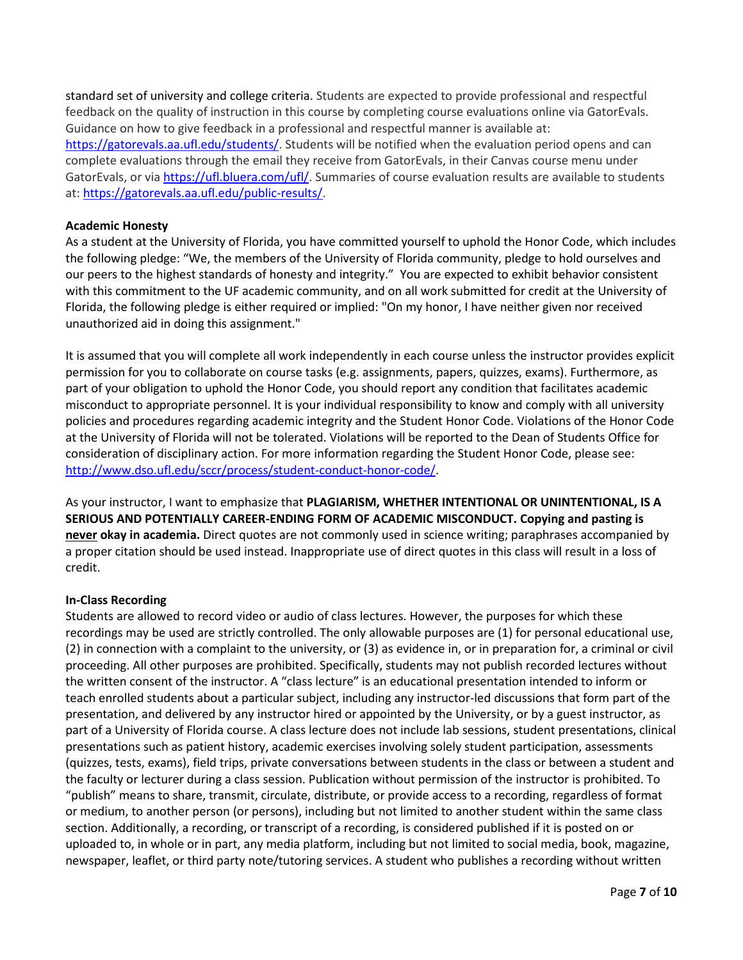standard set of university and college criteria. Students are expected to provide professional and respectful feedback on the quality of instruction in this course by completing course evaluations online via GatorEvals. Guidance on how to give feedback in a professional and respectful manner is available at: [https://gatorevals.aa.ufl.edu/students/.](https://gatorevals.aa.ufl.edu/students/) Students will be notified when the evaluation period opens and can complete evaluations through the email they receive from GatorEvals, in their Canvas course menu under GatorEvals, or vi[a https://ufl.bluera.com/ufl/.](https://ufl.bluera.com/ufl/) Summaries of course evaluation results are available to students at: [https://gatorevals.aa.ufl.edu/public-results/.](https://gatorevals.aa.ufl.edu/public-results/)

### **Academic Honesty**

As a student at the University of Florida, you have committed yourself to uphold the Honor Code, which includes the following pledge: "We, the members of the University of Florida community, pledge to hold ourselves and our peers to the highest standards of honesty and integrity." You are expected to exhibit behavior consistent with this commitment to the UF academic community, and on all work submitted for credit at the University of Florida, the following pledge is either required or implied: "On my honor, I have neither given nor received unauthorized aid in doing this assignment."

It is assumed that you will complete all work independently in each course unless the instructor provides explicit permission for you to collaborate on course tasks (e.g. assignments, papers, quizzes, exams). Furthermore, as part of your obligation to uphold the Honor Code, you should report any condition that facilitates academic misconduct to appropriate personnel. It is your individual responsibility to know and comply with all university policies and procedures regarding academic integrity and the Student Honor Code. Violations of the Honor Code at the University of Florida will not be tolerated. Violations will be reported to the Dean of Students Office for consideration of disciplinary action. For more information regarding the Student Honor Code, please see: [http://www.dso.ufl.edu/sccr/process/student-conduct-honor-code/.](http://www.dso.ufl.edu/sccr/process/student-conduct-honor-code/)

As your instructor, I want to emphasize that **PLAGIARISM, WHETHER INTENTIONAL OR UNINTENTIONAL, IS A SERIOUS AND POTENTIALLY CAREER-ENDING FORM OF ACADEMIC MISCONDUCT. Copying and pasting is never okay in academia.** Direct quotes are not commonly used in science writing; paraphrases accompanied by a proper citation should be used instead. Inappropriate use of direct quotes in this class will result in a loss of credit.

#### **In-Class Recording**

Students are allowed to record video or audio of class lectures. However, the purposes for which these recordings may be used are strictly controlled. The only allowable purposes are (1) for personal educational use, (2) in connection with a complaint to the university, or (3) as evidence in, or in preparation for, a criminal or civil proceeding. All other purposes are prohibited. Specifically, students may not publish recorded lectures without the written consent of the instructor. A "class lecture" is an educational presentation intended to inform or teach enrolled students about a particular subject, including any instructor-led discussions that form part of the presentation, and delivered by any instructor hired or appointed by the University, or by a guest instructor, as part of a University of Florida course. A class lecture does not include lab sessions, student presentations, clinical presentations such as patient history, academic exercises involving solely student participation, assessments (quizzes, tests, exams), field trips, private conversations between students in the class or between a student and the faculty or lecturer during a class session. Publication without permission of the instructor is prohibited. To "publish" means to share, transmit, circulate, distribute, or provide access to a recording, regardless of format or medium, to another person (or persons), including but not limited to another student within the same class section. Additionally, a recording, or transcript of a recording, is considered published if it is posted on or uploaded to, in whole or in part, any media platform, including but not limited to social media, book, magazine, newspaper, leaflet, or third party note/tutoring services. A student who publishes a recording without written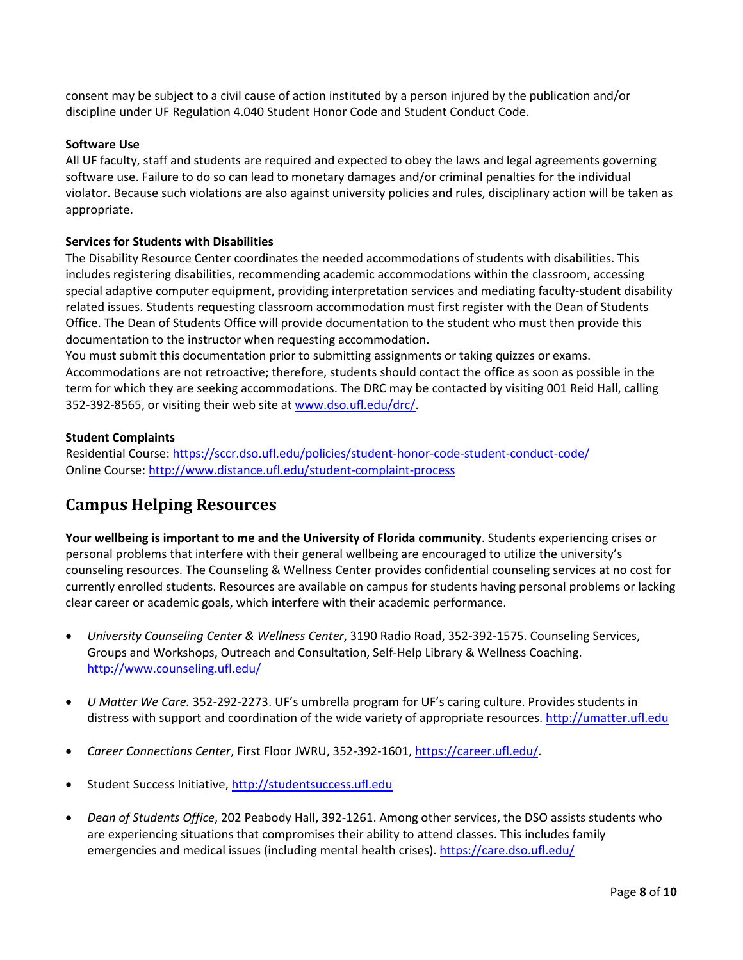consent may be subject to a civil cause of action instituted by a person injured by the publication and/or discipline under UF Regulation 4.040 Student Honor Code and Student Conduct Code.

### **Software Use**

All UF faculty, staff and students are required and expected to obey the laws and legal agreements governing software use. Failure to do so can lead to monetary damages and/or criminal penalties for the individual violator. Because such violations are also against university policies and rules, disciplinary action will be taken as appropriate.

## **Services for Students with Disabilities**

The Disability Resource Center coordinates the needed accommodations of students with disabilities. This includes registering disabilities, recommending academic accommodations within the classroom, accessing special adaptive computer equipment, providing interpretation services and mediating faculty-student disability related issues. Students requesting classroom accommodation must first register with the Dean of Students Office. The Dean of Students Office will provide documentation to the student who must then provide this documentation to the instructor when requesting accommodation.

You must submit this documentation prior to submitting assignments or taking quizzes or exams. Accommodations are not retroactive; therefore, students should contact the office as soon as possible in the term for which they are seeking accommodations. The DRC may be contacted by visiting 001 Reid Hall, calling 352-392-8565, or visiting their web site at [www.dso.ufl.edu/drc/.](http://www.dso.ufl.edu/drc/)

### **Student Complaints**

Residential Course:<https://sccr.dso.ufl.edu/policies/student-honor-code-student-conduct-code/> Online Course:<http://www.distance.ufl.edu/student-complaint-process>

# **Campus Helping Resources**

**Your wellbeing is important to me and the University of Florida community**. Students experiencing crises or personal problems that interfere with their general wellbeing are encouraged to utilize the university's counseling resources. The Counseling & Wellness Center provides confidential counseling services at no cost for currently enrolled students. Resources are available on campus for students having personal problems or lacking clear career or academic goals, which interfere with their academic performance.

- *University Counseling Center & Wellness Center*, 3190 Radio Road, 352-392-1575. Counseling Services, Groups and Workshops, Outreach and Consultation, Self-Help Library & Wellness Coaching. <http://www.counseling.ufl.edu/>
- *U Matter We Care.* 352*-*292-2273. UF's umbrella program for UF's caring culture. Provides students in distress with support and coordination of the wide variety of appropriate resources. [http://umatter.ufl.edu](http://umatter.ufl.edu/)
- *Career Connections Center*, First Floor JWRU, 352-392-1601, [https://career.ufl.edu/.](https://career.ufl.edu/)
- Student Success Initiative, [http://studentsuccess.ufl.edu](http://studentsuccess.ufl.edu/)
- *Dean of Students Office*, 202 Peabody Hall, 392-1261. Among other services, the DSO assists students who are experiencing situations that compromises their ability to attend classes. This includes family emergencies and medical issues (including mental health crises).<https://care.dso.ufl.edu/>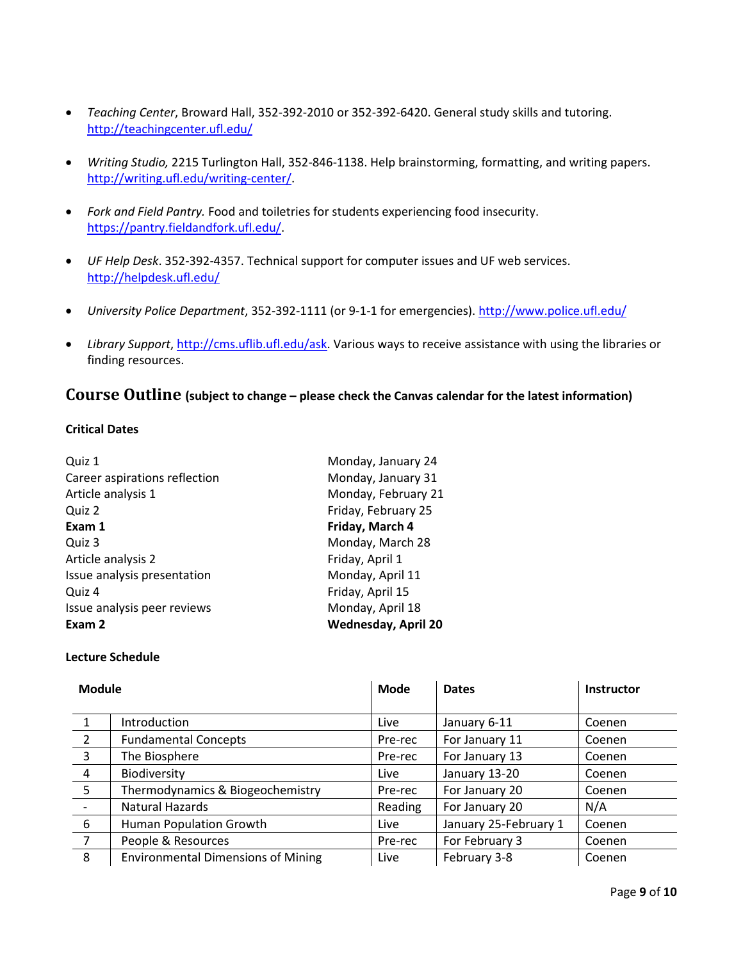- *Teaching Center*, Broward Hall, 352-392-2010 or 352-392-6420. General study skills and tutoring. <http://teachingcenter.ufl.edu/>
- *Writing Studio,* 2215 Turlington Hall, 352*-*846-1138. Help brainstorming, formatting, and writing papers. [http://writing.ufl.edu/writing-center/.](http://writing.ufl.edu/writing-center/)
- *Fork and Field Pantry.* Food and toiletries for students experiencing food insecurity. [https://pantry.fieldandfork.ufl.edu/.](https://pantry.fieldandfork.ufl.edu/)
- *UF Help Desk*. 352-392-4357. Technical support for computer issues and UF web services. <http://helpdesk.ufl.edu/>
- *University Police Department*, 352-392-1111 (or 9-1-1 for emergencies)[. http://www.police.ufl.edu/](http://www.police.ufl.edu/)
- *Library Support*[, http://cms.uflib.ufl.edu/ask.](http://cms.uflib.ufl.edu/ask) Various ways to receive assistance with using the libraries or finding resources.

## **Course Outline (subject to change – please check the Canvas calendar for the latest information)**

## **Critical Dates**

| Quiz 1                        | Monday, January 24         |
|-------------------------------|----------------------------|
| Career aspirations reflection | Monday, January 31         |
| Article analysis 1            | Monday, February 21        |
| Quiz 2                        | Friday, February 25        |
| Exam 1                        | Friday, March 4            |
| Quiz 3                        | Monday, March 28           |
| Article analysis 2            | Friday, April 1            |
| Issue analysis presentation   | Monday, April 11           |
| Quiz 4                        | Friday, April 15           |
| Issue analysis peer reviews   | Monday, April 18           |
| Exam 2                        | <b>Wednesday, April 20</b> |

#### **Lecture Schedule**

| <b>Module</b>  |                                           | Mode    | <b>Dates</b>          | <b>Instructor</b> |
|----------------|-------------------------------------------|---------|-----------------------|-------------------|
|                | Introduction                              | Live    | January 6-11          | Coenen            |
| $\overline{2}$ | <b>Fundamental Concepts</b>               | Pre-rec | For January 11        | Coenen            |
| $\overline{3}$ | The Biosphere                             | Pre-rec | For January 13        | Coenen            |
| $\overline{4}$ | Biodiversity                              | Live    | January 13-20         | Coenen            |
| 5 <sup>5</sup> | Thermodynamics & Biogeochemistry          | Pre-rec | For January 20        | Coenen            |
|                | Natural Hazards                           | Reading | For January 20        | N/A               |
| 6              | Human Population Growth                   | Live    | January 25-February 1 | Coenen            |
| $\overline{7}$ | People & Resources                        | Pre-rec | For February 3        | Coenen            |
| 8              | <b>Environmental Dimensions of Mining</b> | Live    | February 3-8          | Coenen            |